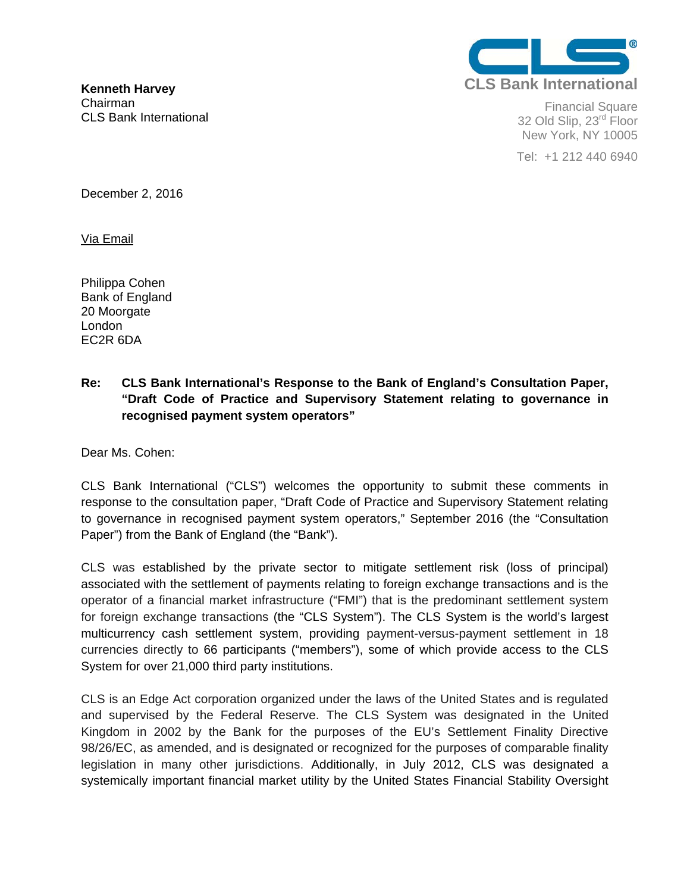

Financial Square 32 Old Slip, 23<sup>rd</sup> Floor New York, NY 10005

Tel: +1 212 440 6940

**Kenneth Harvey**  Chairman CLS Bank International

December 2, 2016

Via Email

Philippa Cohen Bank of England 20 Moorgate London EC2R 6DA

### **Re: CLS Bank International's Response to the Bank of England's Consultation Paper, "Draft Code of Practice and Supervisory Statement relating to governance in recognised payment system operators"**

Dear Ms. Cohen:

CLS Bank International ("CLS") welcomes the opportunity to submit these comments in response to the consultation paper, "Draft Code of Practice and Supervisory Statement relating to governance in recognised payment system operators," September 2016 (the "Consultation Paper") from the Bank of England (the "Bank").

CLS was established by the private sector to mitigate settlement risk (loss of principal) associated with the settlement of payments relating to foreign exchange transactions and is the operator of a financial market infrastructure ("FMI") that is the predominant settlement system for foreign exchange transactions (the "CLS System"). The CLS System is the world's largest multicurrency cash settlement system, providing payment-versus-payment settlement in 18 currencies directly to 66 participants ("members"), some of which provide access to the CLS System for over 21,000 third party institutions.

CLS is an Edge Act corporation organized under the laws of the United States and is regulated and supervised by the Federal Reserve. The CLS System was designated in the United Kingdom in 2002 by the Bank for the purposes of the EU's Settlement Finality Directive 98/26/EC, as amended, and is designated or recognized for the purposes of comparable finality legislation in many other jurisdictions. Additionally, in July 2012, CLS was designated a systemically important financial market utility by the United States Financial Stability Oversight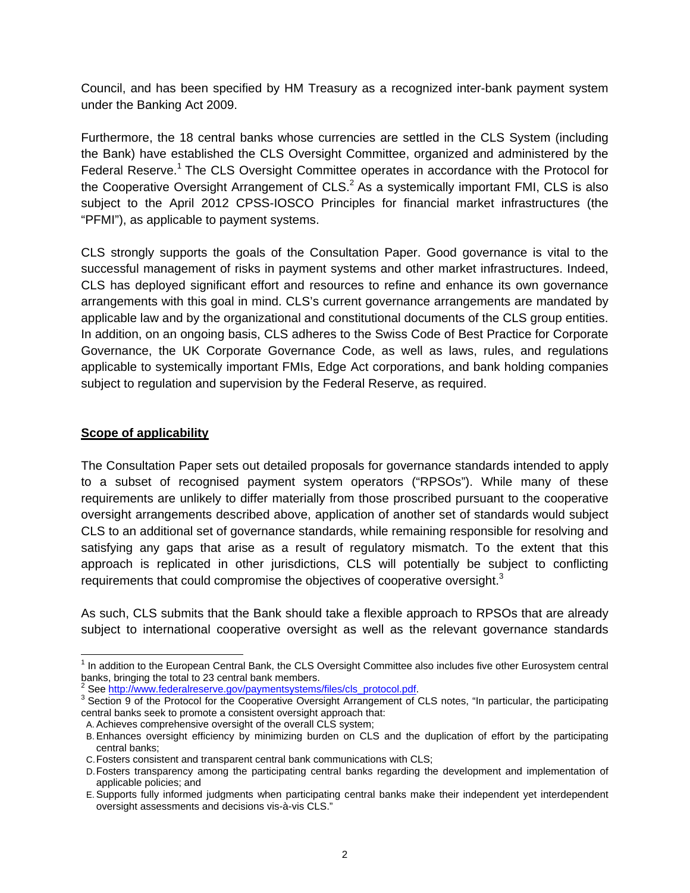Council, and has been specified by HM Treasury as a recognized inter-bank payment system under the Banking Act 2009.

Furthermore, the 18 central banks whose currencies are settled in the CLS System (including the Bank) have established the CLS Oversight Committee, organized and administered by the Federal Reserve.<sup>1</sup> The CLS Oversight Committee operates in accordance with the Protocol for the Cooperative Oversight Arrangement of CLS. $^2$  As a systemically important FMI, CLS is also subject to the April 2012 CPSS-IOSCO Principles for financial market infrastructures (the "PFMI"), as applicable to payment systems.

CLS strongly supports the goals of the Consultation Paper. Good governance is vital to the successful management of risks in payment systems and other market infrastructures. Indeed, CLS has deployed significant effort and resources to refine and enhance its own governance arrangements with this goal in mind. CLS's current governance arrangements are mandated by applicable law and by the organizational and constitutional documents of the CLS group entities. In addition, on an ongoing basis, CLS adheres to the Swiss Code of Best Practice for Corporate Governance, the UK Corporate Governance Code, as well as laws, rules, and regulations applicable to systemically important FMIs, Edge Act corporations, and bank holding companies subject to regulation and supervision by the Federal Reserve, as required.

### **Scope of applicability**

The Consultation Paper sets out detailed proposals for governance standards intended to apply to a subset of recognised payment system operators ("RPSOs"). While many of these requirements are unlikely to differ materially from those proscribed pursuant to the cooperative oversight arrangements described above, application of another set of standards would subject CLS to an additional set of governance standards, while remaining responsible for resolving and satisfying any gaps that arise as a result of regulatory mismatch. To the extent that this approach is replicated in other jurisdictions, CLS will potentially be subject to conflicting requirements that could compromise the objectives of cooperative oversight.<sup>3</sup>

As such, CLS submits that the Bank should take a flexible approach to RPSOs that are already subject to international cooperative oversight as well as the relevant governance standards

 <sup>1</sup> In addition to the European Central Bank, the CLS Oversight Committee also includes five other Eurosystem central banks, bringing the total to 23 central bank members.<br><sup>2</sup> See <u>http://www.federalreserve.gov/paymentsystems/files/cls\_protocol.pdf.</u><br><sup>3</sup> Seetiep 0 of the Protocol for the Connective Oversight Arrangement of G

<sup>&</sup>lt;sup>3</sup> Section 9 of the Protocol for the Cooperative Oversight Arrangement of CLS notes, "In particular, the participating central banks seek to promote a consistent oversight approach that:

A. Achieves comprehensive oversight of the overall CLS system;

B. Enhances oversight efficiency by minimizing burden on CLS and the duplication of effort by the participating central banks;

C. Fosters consistent and transparent central bank communications with CLS;

D. Fosters transparency among the participating central banks regarding the development and implementation of applicable policies; and

E. Supports fully informed judgments when participating central banks make their independent yet interdependent oversight assessments and decisions vis-à-vis CLS."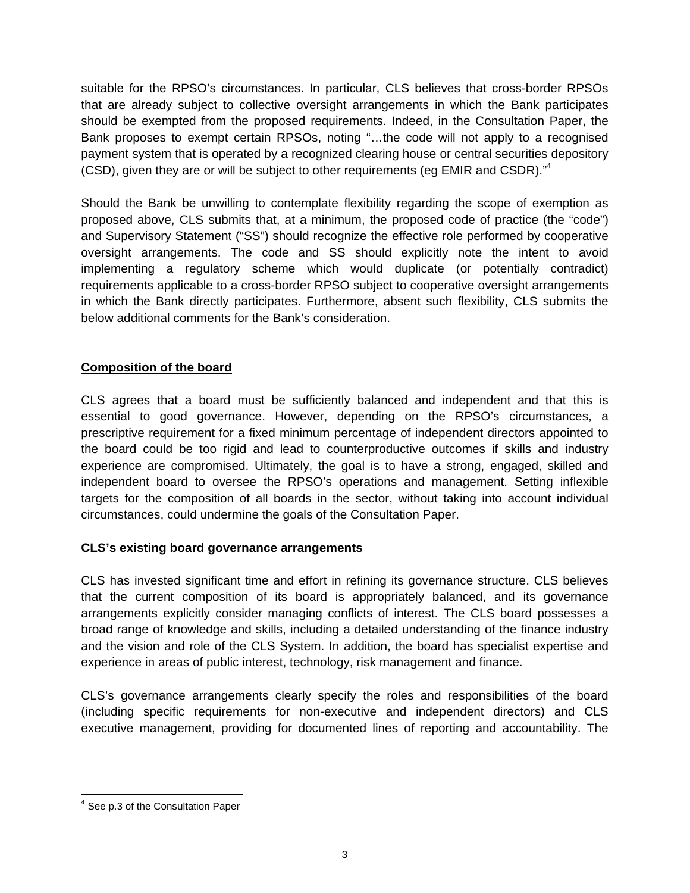suitable for the RPSO's circumstances. In particular, CLS believes that cross-border RPSOs that are already subject to collective oversight arrangements in which the Bank participates should be exempted from the proposed requirements. Indeed, in the Consultation Paper, the Bank proposes to exempt certain RPSOs, noting "…the code will not apply to a recognised payment system that is operated by a recognized clearing house or central securities depository (CSD), given they are or will be subject to other requirements (eg EMIR and CSDR). $^{4}$ 

Should the Bank be unwilling to contemplate flexibility regarding the scope of exemption as proposed above, CLS submits that, at a minimum, the proposed code of practice (the "code") and Supervisory Statement ("SS") should recognize the effective role performed by cooperative oversight arrangements. The code and SS should explicitly note the intent to avoid implementing a regulatory scheme which would duplicate (or potentially contradict) requirements applicable to a cross-border RPSO subject to cooperative oversight arrangements in which the Bank directly participates. Furthermore, absent such flexibility, CLS submits the below additional comments for the Bank's consideration.

# **Composition of the board**

CLS agrees that a board must be sufficiently balanced and independent and that this is essential to good governance. However, depending on the RPSO's circumstances, a prescriptive requirement for a fixed minimum percentage of independent directors appointed to the board could be too rigid and lead to counterproductive outcomes if skills and industry experience are compromised. Ultimately, the goal is to have a strong, engaged, skilled and independent board to oversee the RPSO's operations and management. Setting inflexible targets for the composition of all boards in the sector, without taking into account individual circumstances, could undermine the goals of the Consultation Paper.

# **CLS's existing board governance arrangements**

CLS has invested significant time and effort in refining its governance structure. CLS believes that the current composition of its board is appropriately balanced, and its governance arrangements explicitly consider managing conflicts of interest. The CLS board possesses a broad range of knowledge and skills, including a detailed understanding of the finance industry and the vision and role of the CLS System. In addition, the board has specialist expertise and experience in areas of public interest, technology, risk management and finance.

CLS's governance arrangements clearly specify the roles and responsibilities of the board (including specific requirements for non-executive and independent directors) and CLS executive management, providing for documented lines of reporting and accountability. The

 <sup>4</sup> See p.3 of the Consultation Paper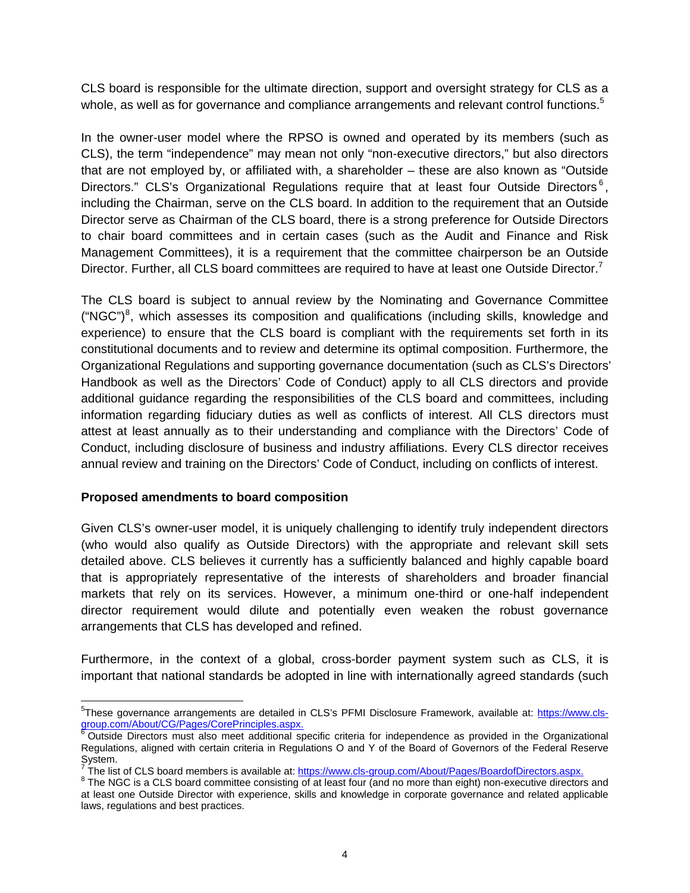CLS board is responsible for the ultimate direction, support and oversight strategy for CLS as a whole, as well as for governance and compliance arrangements and relevant control functions.<sup>5</sup>

In the owner-user model where the RPSO is owned and operated by its members (such as CLS), the term "independence" may mean not only "non-executive directors," but also directors that are not employed by, or affiliated with, a shareholder – these are also known as "Outside Directors." CLS's Organizational Regulations require that at least four Outside Directors<sup>6</sup>. including the Chairman, serve on the CLS board. In addition to the requirement that an Outside Director serve as Chairman of the CLS board, there is a strong preference for Outside Directors to chair board committees and in certain cases (such as the Audit and Finance and Risk Management Committees), it is a requirement that the committee chairperson be an Outside Director. Further, all CLS board committees are required to have at least one Outside Director.<sup>7</sup>

The CLS board is subject to annual review by the Nominating and Governance Committee  $("NGC")<sup>8</sup>$ , which assesses its composition and qualifications (including skills, knowledge and experience) to ensure that the CLS board is compliant with the requirements set forth in its constitutional documents and to review and determine its optimal composition. Furthermore, the Organizational Regulations and supporting governance documentation (such as CLS's Directors' Handbook as well as the Directors' Code of Conduct) apply to all CLS directors and provide additional guidance regarding the responsibilities of the CLS board and committees, including information regarding fiduciary duties as well as conflicts of interest. All CLS directors must attest at least annually as to their understanding and compliance with the Directors' Code of Conduct, including disclosure of business and industry affiliations. Every CLS director receives annual review and training on the Directors' Code of Conduct, including on conflicts of interest.

### **Proposed amendments to board composition**

Given CLS's owner-user model, it is uniquely challenging to identify truly independent directors (who would also qualify as Outside Directors) with the appropriate and relevant skill sets detailed above. CLS believes it currently has a sufficiently balanced and highly capable board that is appropriately representative of the interests of shareholders and broader financial markets that rely on its services. However, a minimum one-third or one-half independent director requirement would dilute and potentially even weaken the robust governance arrangements that CLS has developed and refined.

Furthermore, in the context of a global, cross-border payment system such as CLS, it is important that national standards be adopted in line with internationally agreed standards (such

<sup>&</sup>lt;sup>5</sup>These governance arrangements are detailed in CLS's PFMI Disclosure Framework, available at: https://www.clsgroup.com/About/CG/Pages/CorePrinciples.aspx.<br><sup>6</sup> Outside Directors must also meet additional specific criteria for independence as provided in the Organizational

Regulations, aligned with certain criteria in Regulations O and Y of the Board of Governors of the Federal Reserve System.<br><sup>7</sup> The list

The list of CLS board members is available at: https://www.cls-group.com/About/Pages/BoardofDirectors.aspx.

<sup>&</sup>lt;sup>8</sup> The NGC is a CLS board committee consisting of at least four (and no more than eight) non-executive directors and at least one Outside Director with experience, skills and knowledge in corporate governance and related applicable laws, regulations and best practices.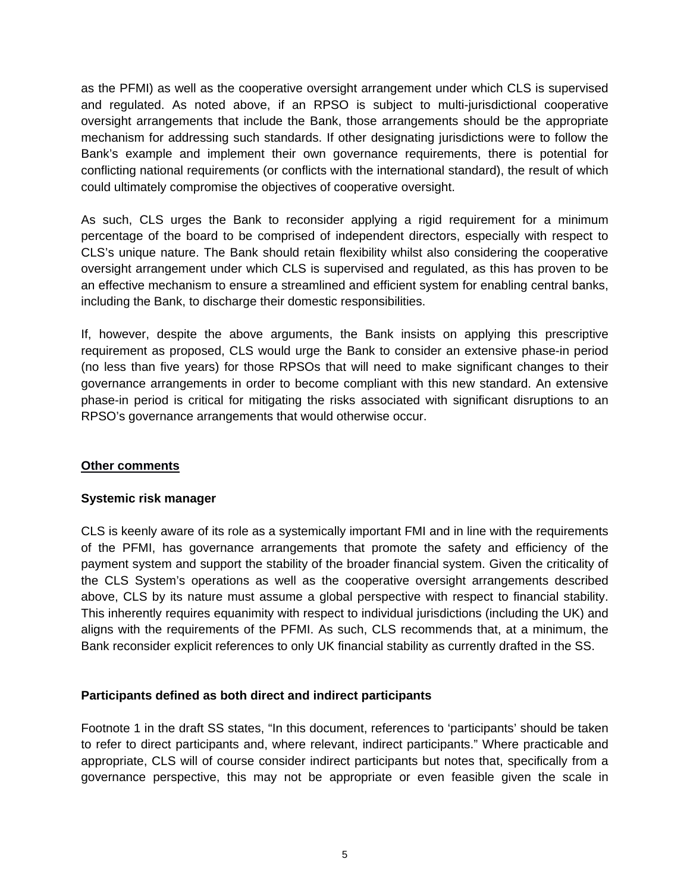as the PFMI) as well as the cooperative oversight arrangement under which CLS is supervised and regulated. As noted above, if an RPSO is subject to multi-jurisdictional cooperative oversight arrangements that include the Bank, those arrangements should be the appropriate mechanism for addressing such standards. If other designating jurisdictions were to follow the Bank's example and implement their own governance requirements, there is potential for conflicting national requirements (or conflicts with the international standard), the result of which could ultimately compromise the objectives of cooperative oversight.

As such, CLS urges the Bank to reconsider applying a rigid requirement for a minimum percentage of the board to be comprised of independent directors, especially with respect to CLS's unique nature. The Bank should retain flexibility whilst also considering the cooperative oversight arrangement under which CLS is supervised and regulated, as this has proven to be an effective mechanism to ensure a streamlined and efficient system for enabling central banks, including the Bank, to discharge their domestic responsibilities.

If, however, despite the above arguments, the Bank insists on applying this prescriptive requirement as proposed, CLS would urge the Bank to consider an extensive phase-in period (no less than five years) for those RPSOs that will need to make significant changes to their governance arrangements in order to become compliant with this new standard. An extensive phase-in period is critical for mitigating the risks associated with significant disruptions to an RPSO's governance arrangements that would otherwise occur.

### **Other comments**

### **Systemic risk manager**

CLS is keenly aware of its role as a systemically important FMI and in line with the requirements of the PFMI, has governance arrangements that promote the safety and efficiency of the payment system and support the stability of the broader financial system. Given the criticality of the CLS System's operations as well as the cooperative oversight arrangements described above, CLS by its nature must assume a global perspective with respect to financial stability. This inherently requires equanimity with respect to individual jurisdictions (including the UK) and aligns with the requirements of the PFMI. As such, CLS recommends that, at a minimum, the Bank reconsider explicit references to only UK financial stability as currently drafted in the SS.

# **Participants defined as both direct and indirect participants**

Footnote 1 in the draft SS states, "In this document, references to 'participants' should be taken to refer to direct participants and, where relevant, indirect participants." Where practicable and appropriate, CLS will of course consider indirect participants but notes that, specifically from a governance perspective, this may not be appropriate or even feasible given the scale in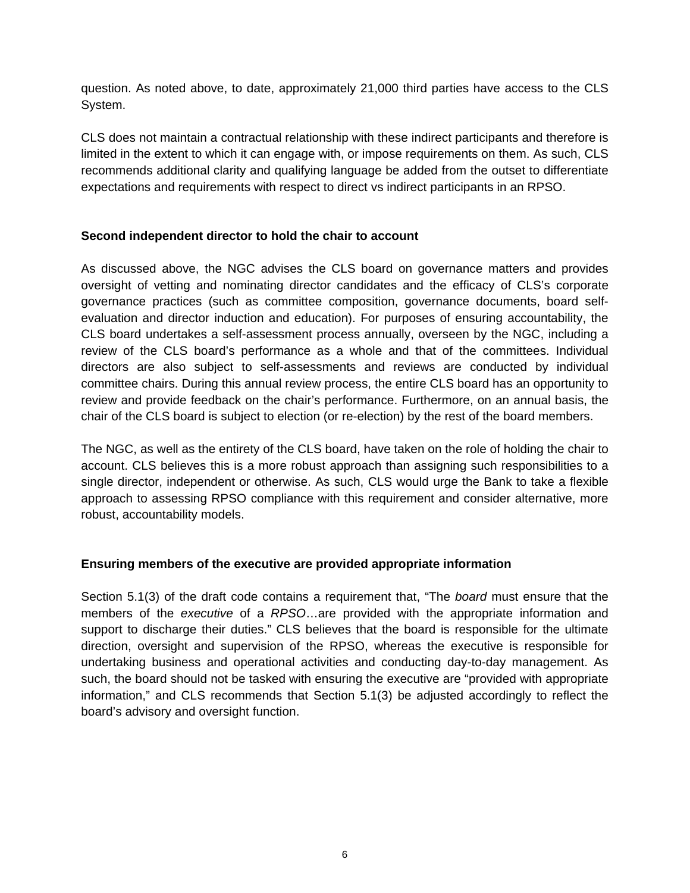question. As noted above, to date, approximately 21,000 third parties have access to the CLS System.

CLS does not maintain a contractual relationship with these indirect participants and therefore is limited in the extent to which it can engage with, or impose requirements on them. As such, CLS recommends additional clarity and qualifying language be added from the outset to differentiate expectations and requirements with respect to direct vs indirect participants in an RPSO.

### **Second independent director to hold the chair to account**

As discussed above, the NGC advises the CLS board on governance matters and provides oversight of vetting and nominating director candidates and the efficacy of CLS's corporate governance practices (such as committee composition, governance documents, board selfevaluation and director induction and education). For purposes of ensuring accountability, the CLS board undertakes a self-assessment process annually, overseen by the NGC, including a review of the CLS board's performance as a whole and that of the committees. Individual directors are also subject to self-assessments and reviews are conducted by individual committee chairs. During this annual review process, the entire CLS board has an opportunity to review and provide feedback on the chair's performance. Furthermore, on an annual basis, the chair of the CLS board is subject to election (or re-election) by the rest of the board members.

The NGC, as well as the entirety of the CLS board, have taken on the role of holding the chair to account. CLS believes this is a more robust approach than assigning such responsibilities to a single director, independent or otherwise. As such, CLS would urge the Bank to take a flexible approach to assessing RPSO compliance with this requirement and consider alternative, more robust, accountability models.

### **Ensuring members of the executive are provided appropriate information**

Section 5.1(3) of the draft code contains a requirement that, "The *board* must ensure that the members of the *executive* of a *RPSO*…are provided with the appropriate information and support to discharge their duties." CLS believes that the board is responsible for the ultimate direction, oversight and supervision of the RPSO, whereas the executive is responsible for undertaking business and operational activities and conducting day-to-day management. As such, the board should not be tasked with ensuring the executive are "provided with appropriate information," and CLS recommends that Section 5.1(3) be adjusted accordingly to reflect the board's advisory and oversight function.